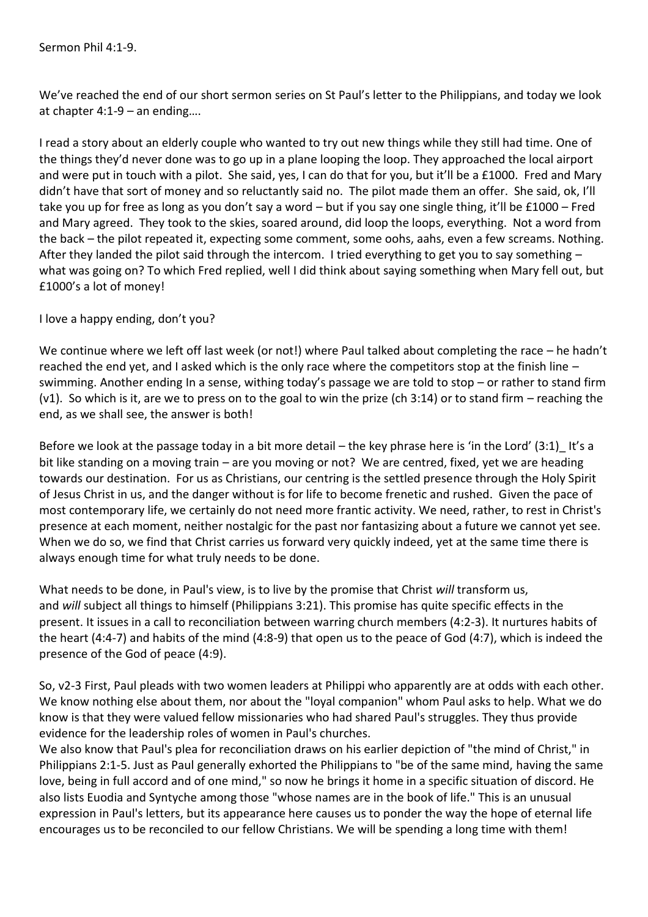We've reached the end of our short sermon series on St Paul's letter to the Philippians, and today we look at chapter 4:1-9 – an ending….

I read a story about an elderly couple who wanted to try out new things while they still had time. One of the things they'd never done was to go up in a plane looping the loop. They approached the local airport and were put in touch with a pilot. She said, yes, I can do that for you, but it'll be a £1000. Fred and Mary didn't have that sort of money and so reluctantly said no. The pilot made them an offer. She said, ok, I'll take you up for free as long as you don't say a word – but if you say one single thing, it'll be £1000 – Fred and Mary agreed. They took to the skies, soared around, did loop the loops, everything. Not a word from the back – the pilot repeated it, expecting some comment, some oohs, aahs, even a few screams. Nothing. After they landed the pilot said through the intercom. I tried everything to get you to say something – what was going on? To which Fred replied, well I did think about saying something when Mary fell out, but £1000's a lot of money!

I love a happy ending, don't you?

We continue where we left off last week (or not!) where Paul talked about completing the race – he hadn't reached the end yet, and I asked which is the only race where the competitors stop at the finish line – swimming. Another ending In a sense, withing today's passage we are told to stop – or rather to stand firm (v1). So which is it, are we to press on to the goal to win the prize (ch 3:14) or to stand firm – reaching the end, as we shall see, the answer is both!

Before we look at the passage today in a bit more detail – the key phrase here is 'in the Lord' (3:1) It's a bit like standing on a moving train – are you moving or not? We are centred, fixed, yet we are heading towards our destination. For us as Christians, our centring is the settled presence through the Holy Spirit of Jesus Christ in us, and the danger without is for life to become frenetic and rushed. Given the pace of most contemporary life, we certainly do not need more frantic activity. We need, rather, to rest in Christ's presence at each moment, neither nostalgic for the past nor fantasizing about a future we cannot yet see. When we do so, we find that Christ carries us forward very quickly indeed, yet at the same time there is always enough time for what truly needs to be done.

What needs to be done, in Paul's view, is to live by the promise that Christ *will* transform us, and *will* subject all things to himself (Philippians 3:21). This promise has quite specific effects in the present. It issues in a call to reconciliation between warring church members (4:2-3). It nurtures habits of the heart (4:4-7) and habits of the mind (4:8-9) that open us to the peace of God (4:7), which is indeed the presence of the God of peace (4:9).

So, v2-3 First, Paul pleads with two women leaders at Philippi who apparently are at odds with each other. We know nothing else about them, nor about the "loyal companion" whom Paul asks to help. What we do know is that they were valued fellow missionaries who had shared Paul's struggles. They thus provide evidence for the leadership roles of women in Paul's churches.

We also know that Paul's plea for reconciliation draws on his earlier depiction of "the mind of Christ," in Philippians 2:1-5. Just as Paul generally exhorted the Philippians to "be of the same mind, having the same love, being in full accord and of one mind," so now he brings it home in a specific situation of discord. He also lists Euodia and Syntyche among those "whose names are in the book of life." This is an unusual expression in Paul's letters, but its appearance here causes us to ponder the way the hope of eternal life encourages us to be reconciled to our fellow Christians. We will be spending a long time with them!